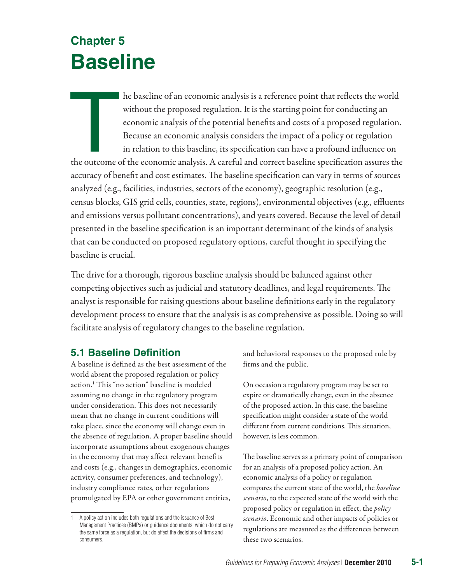# **Chapter 5 Baseline**

In the baseline of an economic analysis is a reference point that reflects the world<br>
without the proposed regulation. It is the starting point for conducting an<br>
economic analysis of the potential benefits and costs of a without the proposed regulation. It is the starting point for conducting an economic analysis of the potential benefits and costs of a proposed regulation. Because an economic analysis considers the impact of a policy or regulation in relation to this baseline, its specification can have a profound influence on

accuracy of benefit and cost estimates. The baseline specification can vary in terms of sources analyzed (e.g., facilities, industries, sectors of the economy), geographic resolution (e.g., census blocks, GIS grid cells, counties, state, regions), environmental objectives (e.g., effluents and emissions versus pollutant concentrations), and years covered. Because the level of detail presented in the baseline specification is an important determinant of the kinds of analysis that can be conducted on proposed regulatory options, careful thought in specifying the baseline is crucial.

The drive for a thorough, rigorous baseline analysis should be balanced against other competing objectives such as judicial and statutory deadlines, and legal requirements. The analyst is responsible for raising questions about baseline definitions early in the regulatory development process to ensure that the analysis is as comprehensive as possible. Doing so will facilitate analysis of regulatory changes to the baseline regulation.

## **5.1 Baseline Definition**

A baseline is defined as the best assessment of the world absent the proposed regulation or policy action.1 This "no action" baseline is modeled assuming no change in the regulatory program under consideration. This does not necessarily mean that no change in current conditions will take place, since the economy will change even in the absence of regulation. A proper baseline should incorporate assumptions about exogenous changes in the economy that may affect relevant benefits and costs (e.g., changes in demographics, economic activity, consumer preferences, and technology), industry compliance rates, other regulations promulgated by EPA or other government entities,

and behavioral responses to the proposed rule by firms and the public.

On occasion a regulatory program may be set to expire or dramatically change, even in the absence of the proposed action. In this case, the baseline specification might consider a state of the world different from current conditions. This situation, however, is less common.

The baseline serves as a primary point of comparison for an analysis of a proposed policy action. An economic analysis of a policy or regulation compares the current state of the world, the *baseline scenario*, to the expected state of the world with the proposed policy or regulation in effect, the *policy scenario*. Economic and other impacts of policies or regulations are measured as the differences between these two scenarios.

<sup>1</sup> A policy action includes both regulations and the issuance of Best Management Practices (BMPs) or guidance documents, which do not carry the same force as a regulation, but do affect the decisions of firms and consumers.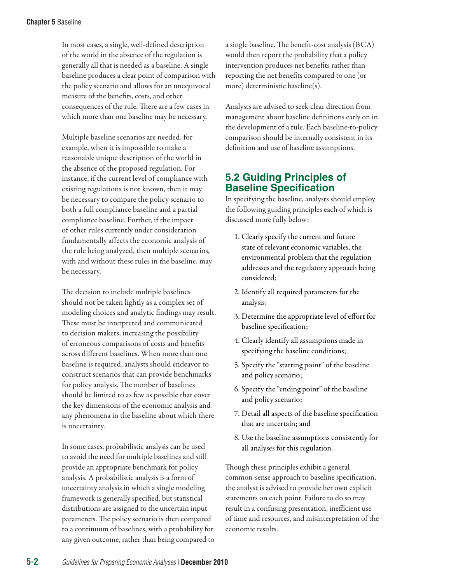In most cases, a single, well-defined description of the world in the absence of the regulation is generally all that is needed as a baseline. A single baseline produces a clear point of comparison with the policy scenario and allows for an unequivocal measure of the benefits, costs, and other consequences of the rule. There are a few cases in which more than one baseline may be necessary.

Multiple baseline scenarios are needed, for example, when it is impossible to make a reasonable unique description of the world in the absence of the proposed regulation. For instance, if the current level of compliance with existing regulations is not known, then it may be necessary to compare the policy scenario to both a full compliance baseline and a partial compliance baseline. Further, if the impact of other rules currently under consideration fundamentally affects the economic analysis of the rule being analyzed, then multiple scenarios, with and without these rules in the baseline, may be necessary.

The decision to include multiple baselines should not be taken lightly as a complex set of modeling choices and analytic findings may result. These must be interpreted and communicated to decision makers, increasing the possibility of erroneous comparisons of costs and benefits across different baselines. When more than one baseline is required, analysts should endeavor to construct scenarios that can provide benchmarks for policy analysis. The number of baselines should be limited to as few as possible that cover the key dimensions of the economic analysis and any phenomena in the baseline about which there is uncertainty.

In some cases, probabilistic analysis can be used to avoid the need for multiple baselines and still provide an appropriate benchmark for policy analysis. A probabilistic analysis is a form of uncertainty analysis in which a single modeling framework is generally specified, but statistical distributions are assigned to the uncertain input parameters. The policy scenario is then compared to a continuum of baselines, with a probability for any given outcome, rather than being compared to a single baseline. The benefit-cost analysis (BCA) would then report the probability that a policy intervention produces net benefits rather than reporting the net benefits compared to one (or more) deterministic baseline(s).

Analysts are advised to seek clear direction from management about baseline definitions early on in the development of a rule. Each baseline-to-policy comparison should be internally consistent in its definition and use of baseline assumptions.

## **5.2 Guiding Principles of Baseline Specification**

In specifying the baseline, analysts should employ the following guiding principles each of which is discussed more fully below:

- 1. Clearly specify the current and future state of relevant economic variables, the environmental problem that the regulation addresses and the regulatory approach being considered;
- 2. Identify all required parameters for the analysis;
- 3. Determine the appropriate level of effort for baseline specification;
- 4. Clearly identify all assumptions made in specifying the baseline conditions;
- 5. Specify the "starting point" of the baseline and policy scenario;
- 6. Specify the "ending point" of the baseline and policy scenario;
- 7. Detail all aspects of the baseline specification that are uncertain; and
- 8. Use the baseline assumptions consistently for all analyses for this regulation.

Though these principles exhibit a general common-sense approach to baseline specification, the analyst is advised to provide her own explicit statements on each point. Failure to do so may result in a confusing presentation, inefficient use of time and resources, and misinterpretation of the economic results.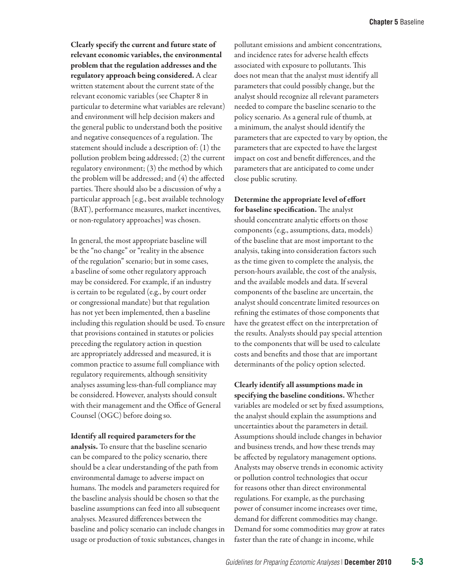Clearly specify the current and future state of relevant economic variables, the environmental problem that the regulation addresses and the regulatory approach being considered. A clear written statement about the current state of the relevant economic variables (see Chapter 8 in particular to determine what variables are relevant) and environment will help decision makers and the general public to understand both the positive and negative consequences of a regulation. The statement should include a description of: (1) the pollution problem being addressed; (2) the current regulatory environment; (3) the method by which the problem will be addressed; and (4) the affected parties. There should also be a discussion of why a particular approach [e.g., best available technology (BAT), performance measures, market incentives, or non-regulatory approaches] was chosen.

In general, the most appropriate baseline will be the "no change" or "reality in the absence of the regulation" scenario; but in some cases, a baseline of some other regulatory approach may be considered. For example, if an industry is certain to be regulated (e.g., by court order or congressional mandate) but that regulation has not yet been implemented, then a baseline including this regulation should be used. To ensure that provisions contained in statutes or policies preceding the regulatory action in question are appropriately addressed and measured, it is common practice to assume full compliance with regulatory requirements, although sensitivity analyses assuming less-than-full compliance may be considered. However, analysts should consult with their management and the Office of General Counsel (OGC) before doing so.

#### Identify all required parameters for the

analysis. To ensure that the baseline scenario can be compared to the policy scenario, there should be a clear understanding of the path from environmental damage to adverse impact on humans. The models and parameters required for the baseline analysis should be chosen so that the baseline assumptions can feed into all subsequent analyses. Measured differences between the baseline and policy scenario can include changes in usage or production of toxic substances, changes in

pollutant emissions and ambient concentrations, and incidence rates for adverse health effects associated with exposure to pollutants. This does not mean that the analyst must identify all parameters that could possibly change, but the analyst should recognize all relevant parameters needed to compare the baseline scenario to the policy scenario. As a general rule of thumb, at a minimum, the analyst should identify the parameters that are expected to vary by option, the parameters that are expected to have the largest impact on cost and benefit differences, and the parameters that are anticipated to come under close public scrutiny.

Determine the appropriate level of effort for baseline specification. The analyst should concentrate analytic efforts on those components (e.g., assumptions, data, models) of the baseline that are most important to the analysis, taking into consideration factors such as the time given to complete the analysis, the person-hours available, the cost of the analysis, and the available models and data. If several components of the baseline are uncertain, the analyst should concentrate limited resources on refining the estimates of those components that have the greatest effect on the interpretation of the results. Analysts should pay special attention to the components that will be used to calculate costs and benefits and those that are important determinants of the policy option selected.

Clearly identify all assumptions made in specifying the baseline conditions. Whether variables are modeled or set by fixed assumptions, the analyst should explain the assumptions and uncertainties about the parameters in detail. Assumptions should include changes in behavior and business trends, and how these trends may be affected by regulatory management options. Analysts may observe trends in economic activity or pollution control technologies that occur for reasons other than direct environmental regulations. For example, as the purchasing power of consumer income increases over time, demand for different commodities may change. Demand for some commodities may grow at rates faster than the rate of change in income, while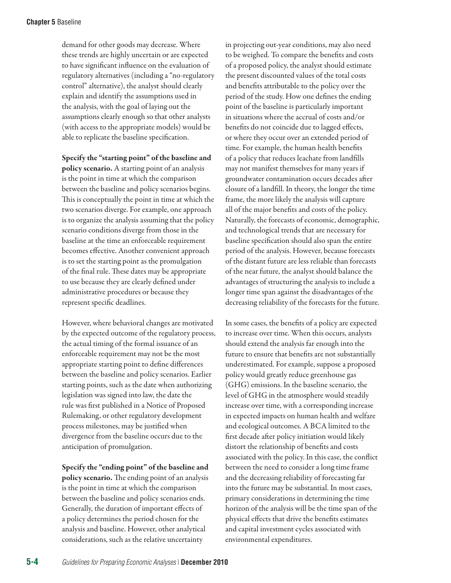demand for other goods may decrease. Where these trends are highly uncertain or are expected to have significant influence on the evaluation of regulatory alternatives (including a "no-regulatory control" alternative), the analyst should clearly explain and identify the assumptions used in the analysis, with the goal of laying out the assumptions clearly enough so that other analysts (with access to the appropriate models) would be able to replicate the baseline specification.

Specify the "starting point" of the baseline and policy scenario. A starting point of an analysis is the point in time at which the comparison between the baseline and policy scenarios begins. This is conceptually the point in time at which the two scenarios diverge. For example, one approach is to organize the analysis assuming that the policy scenario conditions diverge from those in the baseline at the time an enforceable requirement becomes effective. Another convenient approach is to set the starting point as the promulgation of the final rule. These dates may be appropriate to use because they are clearly defined under administrative procedures or because they represent specific deadlines.

However, where behavioral changes are motivated by the expected outcome of the regulatory process, the actual timing of the formal issuance of an enforceable requirement may not be the most appropriate starting point to define differences between the baseline and policy scenarios. Earlier starting points, such as the date when authorizing legislation was signed into law, the date the rule was first published in a Notice of Proposed Rulemaking, or other regulatory development process milestones, may be justified when divergence from the baseline occurs due to the anticipation of promulgation.

Specify the "ending point" of the baseline and policy scenario. The ending point of an analysis is the point in time at which the comparison between the baseline and policy scenarios ends. Generally, the duration of important effects of a policy determines the period chosen for the analysis and baseline. However, other analytical considerations, such as the relative uncertainty

in projecting out-year conditions, may also need to be weighed. To compare the benefits and costs of a proposed policy, the analyst should estimate the present discounted values of the total costs and benefits attributable to the policy over the period of the study. How one defines the ending point of the baseline is particularly important in situations where the accrual of costs and/or benefits do not coincide due to lagged effects, or where they occur over an extended period of time. For example, the human health benefits of a policy that reduces leachate from landfills may not manifest themselves for many years if groundwater contamination occurs decades after closure of a landfill. In theory, the longer the time frame, the more likely the analysis will capture all of the major benefits and costs of the policy. Naturally, the forecasts of economic, demographic, and technological trends that are necessary for baseline specification should also span the entire period of the analysis. However, because forecasts of the distant future are less reliable than forecasts of the near future, the analyst should balance the advantages of structuring the analysis to include a longer time span against the disadvantages of the decreasing reliability of the forecasts for the future.

In some cases, the benefits of a policy are expected to increase over time. When this occurs, analysts should extend the analysis far enough into the future to ensure that benefits are not substantially underestimated. For example, suppose a proposed policy would greatly reduce greenhouse gas (GHG) emissions. In the baseline scenario, the level of GHG in the atmosphere would steadily increase over time, with a corresponding increase in expected impacts on human health and welfare and ecological outcomes. A BCA limited to the first decade after policy initiation would likely distort the relationship of benefits and costs associated with the policy. In this case, the conflict between the need to consider a long time frame and the decreasing reliability of forecasting far into the future may be substantial. In most cases, primary considerations in determining the time horizon of the analysis will be the time span of the physical effects that drive the benefits estimates and capital investment cycles associated with environmental expenditures.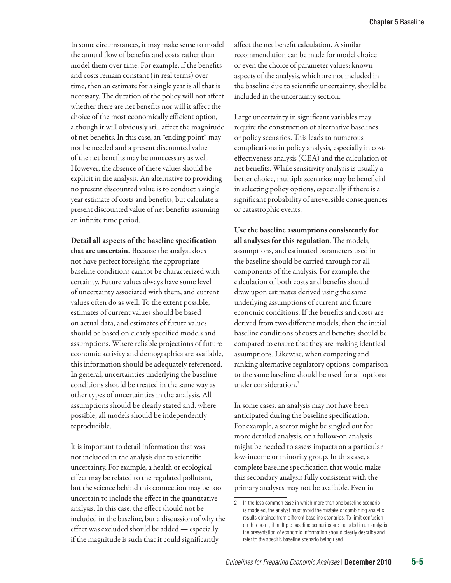In some circumstances, it may make sense to model the annual flow of benefits and costs rather than model them over time. For example, if the benefits and costs remain constant (in real terms) over time, then an estimate for a single year is all that is necessary. The duration of the policy will not affect whether there are net benefits nor will it affect the choice of the most economically efficient option, although it will obviously still affect the magnitude of net benefits. In this case, an "ending point" may not be needed and a present discounted value of the net benefits may be unnecessary as well. However, the absence of these values should be explicit in the analysis. An alternative to providing no present discounted value is to conduct a single year estimate of costs and benefits, but calculate a present discounted value of net benefits assuming an infinite time period.

Detail all aspects of the baseline specification

that are uncertain. Because the analyst does not have perfect foresight, the appropriate baseline conditions cannot be characterized with certainty. Future values always have some level of uncertainty associated with them, and current values often do as well. To the extent possible, estimates of current values should be based on actual data, and estimates of future values should be based on clearly specified models and assumptions. Where reliable projections of future economic activity and demographics are available, this information should be adequately referenced. In general, uncertainties underlying the baseline conditions should be treated in the same way as other types of uncertainties in the analysis. All assumptions should be clearly stated and, where possible, all models should be independently reproducible.

It is important to detail information that was not included in the analysis due to scientific uncertainty. For example, a health or ecological effect may be related to the regulated pollutant, but the science behind this connection may be too uncertain to include the effect in the quantitative analysis. In this case, the effect should not be included in the baseline, but a discussion of why the effect was excluded should be added — especially if the magnitude is such that it could significantly

affect the net benefit calculation. A similar recommendation can be made for model choice or even the choice of parameter values; known aspects of the analysis, which are not included in the baseline due to scientific uncertainty, should be included in the uncertainty section.

Large uncertainty in significant variables may require the construction of alternative baselines or policy scenarios. This leads to numerous complications in policy analysis, especially in costeffectiveness analysis (CEA) and the calculation of net benefits. While sensitivity analysis is usually a better choice, multiple scenarios may be beneficial in selecting policy options, especially if there is a significant probability of irreversible consequences or catastrophic events.

Use the baseline assumptions consistently for all analyses for this regulation. The models, assumptions, and estimated parameters used in the baseline should be carried through for all components of the analysis. For example, the calculation of both costs and benefits should draw upon estimates derived using the same underlying assumptions of current and future economic conditions. If the benefits and costs are derived from two different models, then the initial baseline conditions of costs and benefits should be compared to ensure that they are making identical assumptions. Likewise, when comparing and ranking alternative regulatory options, comparison to the same baseline should be used for all options under consideration.<sup>2</sup>

In some cases, an analysis may not have been anticipated during the baseline specification. For example, a sector might be singled out for more detailed analysis, or a follow-on analysis might be needed to assess impacts on a particular low-income or minority group. In this case, a complete baseline specification that would make this secondary analysis fully consistent with the primary analyses may not be available. Even in

<sup>2</sup> In the less common case in which more than one baseline scenario is modeled, the analyst must avoid the mistake of combining analytic results obtained from different baseline scenarios. To limit confusion on this point, if multiple baseline scenarios are included in an analysis, the presentation of economic information should clearly describe and refer to the specific baseline scenario being used.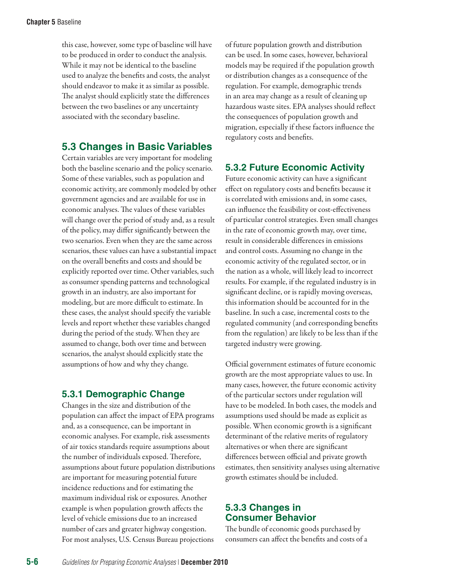this case, however, some type of baseline will have to be produced in order to conduct the analysis. While it may not be identical to the baseline used to analyze the benefits and costs, the analyst should endeavor to make it as similar as possible. The analyst should explicitly state the differences between the two baselines or any uncertainty associated with the secondary baseline.

# **5.3 Changes in Basic Variables**

Certain variables are very important for modeling both the baseline scenario and the policy scenario. Some of these variables, such as population and economic activity, are commonly modeled by other government agencies and are available for use in economic analyses. The values of these variables will change over the period of study and, as a result of the policy, may differ significantly between the two scenarios. Even when they are the same across scenarios, these values can have a substantial impact on the overall benefits and costs and should be explicitly reported over time. Other variables, such as consumer spending patterns and technological growth in an industry, are also important for modeling, but are more difficult to estimate. In these cases, the analyst should specify the variable levels and report whether these variables changed during the period of the study. When they are assumed to change, both over time and between scenarios, the analyst should explicitly state the assumptions of how and why they change.

## **5.3.1 Demographic Change**

Changes in the size and distribution of the population can affect the impact of EPA programs and, as a consequence, can be important in economic analyses. For example, risk assessments of air toxics standards require assumptions about the number of individuals exposed. Therefore, assumptions about future population distributions are important for measuring potential future incidence reductions and for estimating the maximum individual risk or exposures. Another example is when population growth affects the level of vehicle emissions due to an increased number of cars and greater highway congestion. For most analyses, U.S. Census Bureau projections

of future population growth and distribution can be used. In some cases, however, behavioral models may be required if the population growth or distribution changes as a consequence of the regulation. For example, demographic trends in an area may change as a result of cleaning up hazardous waste sites. EPA analyses should reflect the consequences of population growth and migration, especially if these factors influence the regulatory costs and benefits.

# **5.3.2 Future Economic Activity**

Future economic activity can have a significant effect on regulatory costs and benefits because it is correlated with emissions and, in some cases, can influence the feasibility or cost-effectiveness of particular control strategies. Even small changes in the rate of economic growth may, over time, result in considerable differences in emissions and control costs. Assuming no change in the economic activity of the regulated sector, or in the nation as a whole, will likely lead to incorrect results. For example, if the regulated industry is in significant decline, or is rapidly moving overseas, this information should be accounted for in the baseline. In such a case, incremental costs to the regulated community (and corresponding benefits from the regulation) are likely to be less than if the targeted industry were growing.

Official government estimates of future economic growth are the most appropriate values to use. In many cases, however, the future economic activity of the particular sectors under regulation will have to be modeled. In both cases, the models and assumptions used should be made as explicit as possible. When economic growth is a significant determinant of the relative merits of regulatory alternatives or when there are significant differences between official and private growth estimates, then sensitivity analyses using alternative growth estimates should be included.

## **5.3.3 Changes in Consumer Behavior**

The bundle of economic goods purchased by consumers can affect the benefits and costs of a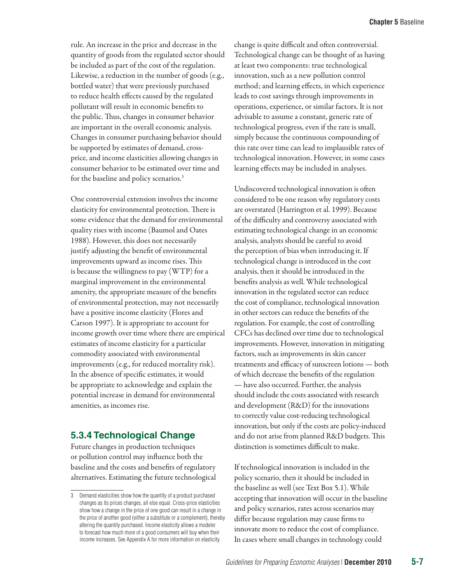rule. An increase in the price and decrease in the quantity of goods from the regulated sector should be included as part of the cost of the regulation. Likewise, a reduction in the number of goods (e.g., bottled water) that were previously purchased to reduce health effects caused by the regulated pollutant will result in economic benefits to the public. Thus, changes in consumer behavior are important in the overall economic analysis. Changes in consumer purchasing behavior should be supported by estimates of demand, crossprice, and income elasticities allowing changes in consumer behavior to be estimated over time and for the baseline and policy scenarios.<sup>3</sup>

One controversial extension involves the income elasticity for environmental protection. There is some evidence that the demand for environmental quality rises with income (Baumol and Oates 1988). However, this does not necessarily justify adjusting the benefit of environmental improvements upward as income rises. This is because the willingness to pay (WTP) for a marginal improvement in the environmental amenity, the appropriate measure of the benefits of environmental protection, may not necessarily have a positive income elasticity (Flores and Carson 1997). It is appropriate to account for income growth over time where there are empirical estimates of income elasticity for a particular commodity associated with environmental improvements (e.g., for reduced mortality risk). In the absence of specific estimates, it would be appropriate to acknowledge and explain the potential increase in demand for environmental amenities, as incomes rise.

### **5.3.4 Technological Change**

Future changes in production techniques or pollution control may influence both the baseline and the costs and benefits of regulatory alternatives. Estimating the future technological change is quite difficult and often controversial. Technological change can be thought of as having at least two components: true technological innovation, such as a new pollution control method; and learning effects, in which experience leads to cost savings through improvements in operations, experience, or similar factors. It is not advisable to assume a constant, generic rate of technological progress, even if the rate is small, simply because the continuous compounding of this rate over time can lead to implausible rates of technological innovation. However, in some cases learning effects may be included in analyses.

Undiscovered technological innovation is often considered to be one reason why regulatory costs are overstated (Harrington et al. 1999). Because of the difficulty and controversy associated with estimating technological change in an economic analysis, analysts should be careful to avoid the perception of bias when introducing it. If technological change is introduced in the cost analysis, then it should be introduced in the benefits analysis as well. While technological innovation in the regulated sector can reduce the cost of compliance, technological innovation in other sectors can reduce the benefits of the regulation. For example, the cost of controlling CFCs has declined over time due to technological improvements. However, innovation in mitigating factors, such as improvements in skin cancer treatments and efficacy of sunscreen lotions — both of which decrease the benefits of the regulation — have also occurred. Further, the analysis should include the costs associated with research and development (R&D) for the innovations to correctly value cost-reducing technological innovation, but only if the costs are policy-induced and do not arise from planned R&D budgets. This distinction is sometimes difficult to make.

If technological innovation is included in the policy scenario, then it should be included in the baseline as well (see Text Box 5.1). While accepting that innovation will occur in the baseline and policy scenarios, rates across scenarios may differ because regulation may cause firms to innovate more to reduce the cost of compliance. In cases where small changes in technology could

<sup>3</sup> Demand elasticities show how the quantity of a product purchased changes as its prices changes, all else equal. Cross-price elasticities show how a change in the price of one good can result in a change in the price of another good (either a substitute or a complement), thereby altering the quantity purchased. Income elasticity allows a modeler to forecast how much more of a good consumers will buy when their income increases. See Appendix A for more information on elasticity.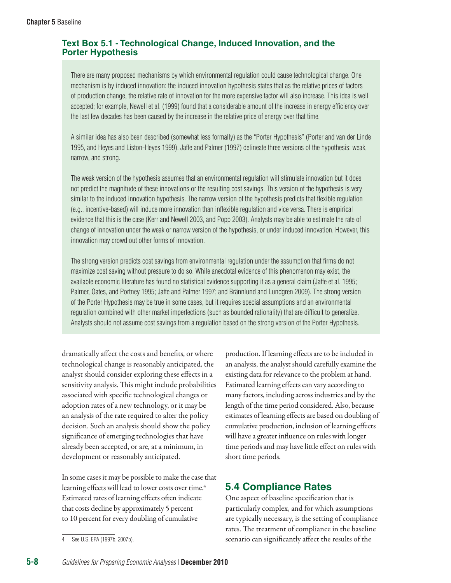### **Text Box 5.1 - Technological Change, Induced Innovation, and the Porter Hypothesis**

There are many proposed mechanisms by which environmental regulation could cause technological change. One mechanism is by induced innovation: the induced innovation hypothesis states that as the relative prices of factors of production change, the relative rate of innovation for the more expensive factor will also increase. This idea is well accepted; for example, Newell et al. (1999) found that a considerable amount of the increase in energy efficiency over the last few decades has been caused by the increase in the relative price of energy over that time.

A similar idea has also been described (somewhat less formally) as the "Porter Hypothesis" (Porter and van der Linde 1995, and Heyes and Liston-Heyes 1999). Jaffe and Palmer (1997) delineate three versions of the hypothesis: weak, narrow, and strong.

The weak version of the hypothesis assumes that an environmental regulation will stimulate innovation but it does not predict the magnitude of these innovations or the resulting cost savings. This version of the hypothesis is very similar to the induced innovation hypothesis. The narrow version of the hypothesis predicts that flexible regulation (e.g., incentive-based) will induce more innovation than inflexible regulation and vice versa. There is empirical evidence that this is the case (Kerr and Newell 2003, and Popp 2003). Analysts may be able to estimate the rate of change of innovation under the weak or narrow version of the hypothesis, or under induced innovation. However, this innovation may crowd out other forms of innovation.

The strong version predicts cost savings from environmental regulation under the assumption that firms do not maximize cost saving without pressure to do so. While anecdotal evidence of this phenomenon may exist, the available economic literature has found no statistical evidence supporting it as a general claim (Jaffe et al. 1995; Palmer, Oates, and Portney 1995; Jaffe and Palmer 1997; and Brännlund and Lundgren 2009). The strong version of the Porter Hypothesis may be true in some cases, but it requires special assumptions and an environmental regulation combined with other market imperfections (such as bounded rationality) that are difficult to generalize. Analysts should not assume cost savings from a regulation based on the strong version of the Porter Hypothesis.

dramatically affect the costs and benefits, or where technological change is reasonably anticipated, the analyst should consider exploring these effects in a sensitivity analysis. This might include probabilities associated with specific technological changes or adoption rates of a new technology, or it may be an analysis of the rate required to alter the policy decision. Such an analysis should show the policy significance of emerging technologies that have already been accepted, or are, at a minimum, in development or reasonably anticipated.

In some cases it may be possible to make the case that learning effects will lead to lower costs over time.<sup>4</sup> Estimated rates of learning effects often indicate that costs decline by approximately 5 percent to 10 percent for every doubling of cumulative

production. If learning effects are to be included in an analysis, the analyst should carefully examine the existing data for relevance to the problem at hand. Estimated learning effects can vary according to many factors, including across industries and by the length of the time period considered. Also, because estimates of learning effects are based on doubling of cumulative production, inclusion of learning effects will have a greater influence on rules with longer time periods and may have little effect on rules with short time periods.

## **5.4 Compliance Rates**

One aspect of baseline specification that is particularly complex, and for which assumptions are typically necessary, is the setting of compliance rates. The treatment of compliance in the baseline scenario can significantly affect the results of the

See U.S. EPA (1997b, 2007b).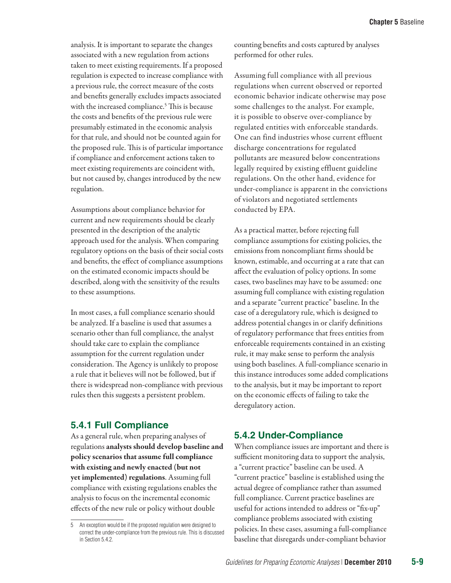analysis. It is important to separate the changes associated with a new regulation from actions taken to meet existing requirements. If a proposed regulation is expected to increase compliance with a previous rule, the correct measure of the costs and benefits generally excludes impacts associated with the increased compliance.<sup>5</sup> This is because the costs and benefits of the previous rule were presumably estimated in the economic analysis for that rule, and should not be counted again for the proposed rule. This is of particular importance if compliance and enforcement actions taken to meet existing requirements are coincident with, but not caused by, changes introduced by the new regulation.

Assumptions about compliance behavior for current and new requirements should be clearly presented in the description of the analytic approach used for the analysis. When comparing regulatory options on the basis of their social costs and benefits, the effect of compliance assumptions on the estimated economic impacts should be described, along with the sensitivity of the results to these assumptions.

In most cases, a full compliance scenario should be analyzed. If a baseline is used that assumes a scenario other than full compliance, the analyst should take care to explain the compliance assumption for the current regulation under consideration. The Agency is unlikely to propose a rule that it believes will not be followed, but if there is widespread non-compliance with previous rules then this suggests a persistent problem.

# **5.4.1 Full Compliance**

As a general rule, when preparing analyses of regulations analysts should develop baseline and policy scenarios that assume full compliance with existing and newly enacted (but not yet implemented) regulations. Assuming full compliance with existing regulations enables the analysis to focus on the incremental economic effects of the new rule or policy without double

counting benefits and costs captured by analyses performed for other rules.

Assuming full compliance with all previous regulations when current observed or reported economic behavior indicate otherwise may pose some challenges to the analyst. For example, it is possible to observe over-compliance by regulated entities with enforceable standards. One can find industries whose current effluent discharge concentrations for regulated pollutants are measured below concentrations legally required by existing effluent guideline regulations. On the other hand, evidence for under-compliance is apparent in the convictions of violators and negotiated settlements conducted by EPA.

As a practical matter, before rejecting full compliance assumptions for existing policies, the emissions from noncompliant firms should be known, estimable, and occurring at a rate that can affect the evaluation of policy options. In some cases, two baselines may have to be assumed: one assuming full compliance with existing regulation and a separate "current practice" baseline. In the case of a deregulatory rule, which is designed to address potential changes in or clarify definitions of regulatory performance that frees entities from enforceable requirements contained in an existing rule, it may make sense to perform the analysis using both baselines. A full-compliance scenario in this instance introduces some added complications to the analysis, but it may be important to report on the economic effects of failing to take the deregulatory action.

## **5.4.2 Under-Compliance**

When compliance issues are important and there is sufficient monitoring data to support the analysis, a "current practice" baseline can be used. A "current practice" baseline is established using the actual degree of compliance rather than assumed full compliance. Current practice baselines are useful for actions intended to address or "fix-up" compliance problems associated with existing policies. In these cases, assuming a full-compliance baseline that disregards under-compliant behavior

<sup>5</sup> An exception would be if the proposed regulation were designed to correct the under-compliance from the previous rule. This is discussed in Section 5.4.2.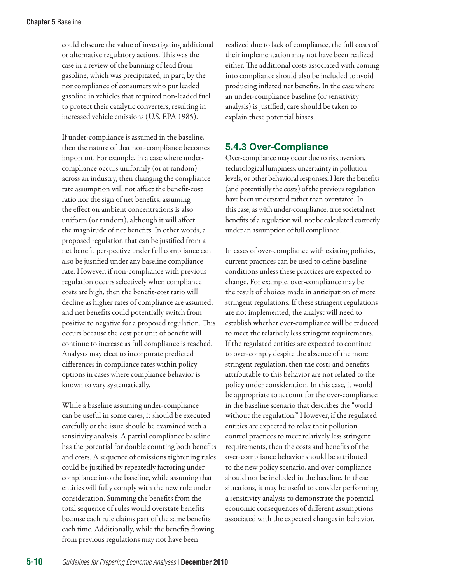could obscure the value of investigating additional or alternative regulatory actions. This was the case in a review of the banning of lead from gasoline, which was precipitated, in part, by the noncompliance of consumers who put leaded gasoline in vehicles that required non-leaded fuel to protect their catalytic converters, resulting in increased vehicle emissions (U.S. EPA 1985).

If under-compliance is assumed in the baseline, then the nature of that non-compliance becomes important. For example, in a case where undercompliance occurs uniformly (or at random) across an industry, then changing the compliance rate assumption will not affect the benefit-cost ratio nor the sign of net benefits, assuming the effect on ambient concentrations is also uniform (or random), although it will affect the magnitude of net benefits. In other words, a proposed regulation that can be justified from a net benefit perspective under full compliance can also be justified under any baseline compliance rate. However, if non-compliance with previous regulation occurs selectively when compliance costs are high, then the benefit-cost ratio will decline as higher rates of compliance are assumed, and net benefits could potentially switch from positive to negative for a proposed regulation. This occurs because the cost per unit of benefit will continue to increase as full compliance is reached. Analysts may elect to incorporate predicted differences in compliance rates within policy options in cases where compliance behavior is known to vary systematically.

While a baseline assuming under-compliance can be useful in some cases, it should be executed carefully or the issue should be examined with a sensitivity analysis. A partial compliance baseline has the potential for double counting both benefits and costs. A sequence of emissions tightening rules could be justified by repeatedly factoring undercompliance into the baseline, while assuming that entities will fully comply with the new rule under consideration. Summing the benefits from the total sequence of rules would overstate benefits because each rule claims part of the same benefits each time. Additionally, while the benefits flowing from previous regulations may not have been

realized due to lack of compliance, the full costs of their implementation may not have been realized either. The additional costs associated with coming into compliance should also be included to avoid producing inflated net benefits. In the case where an under-compliance baseline (or sensitivity analysis) is justified, care should be taken to explain these potential biases.

### **5.4.3 Over-Compliance**

Over-compliance may occur due to risk aversion, technological lumpiness, uncertainty in pollution levels, or other behavioral responses. Here the benefits (and potentially the costs) of the previous regulation have been understated rather than overstated. In this case, as with under-compliance, true societal net benefits of a regulation will not be calculated correctly under an assumption of full compliance.

In cases of over-compliance with existing policies, current practices can be used to define baseline conditions unless these practices are expected to change. For example, over-compliance may be the result of choices made in anticipation of more stringent regulations. If these stringent regulations are not implemented, the analyst will need to establish whether over-compliance will be reduced to meet the relatively less stringent requirements. If the regulated entities are expected to continue to over-comply despite the absence of the more stringent regulation, then the costs and benefits attributable to this behavior are not related to the policy under consideration. In this case, it would be appropriate to account for the over-compliance in the baseline scenario that describes the "world without the regulation." However, if the regulated entities are expected to relax their pollution control practices to meet relatively less stringent requirements, then the costs and benefits of the over-compliance behavior should be attributed to the new policy scenario, and over-compliance should not be included in the baseline. In these situations, it may be useful to consider performing a sensitivity analysis to demonstrate the potential economic consequences of different assumptions associated with the expected changes in behavior.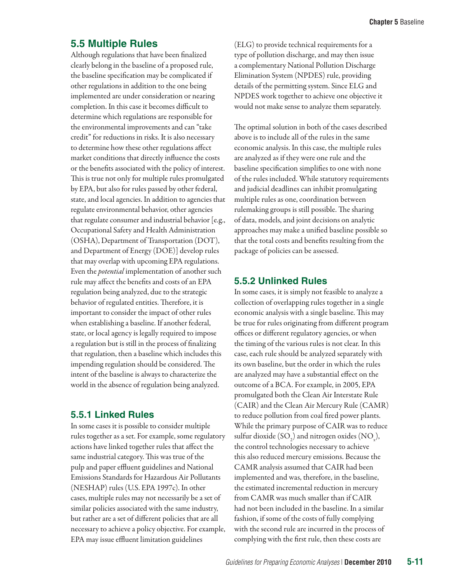## **5.5 Multiple Rules**

Although regulations that have been finalized clearly belong in the baseline of a proposed rule, the baseline specification may be complicated if other regulations in addition to the one being implemented are under consideration or nearing completion. In this case it becomes difficult to determine which regulations are responsible for the environmental improvements and can "take credit" for reductions in risks. It is also necessary to determine how these other regulations affect market conditions that directly influence the costs or the benefits associated with the policy of interest. This is true not only for multiple rules promulgated by EPA, but also for rules passed by other federal, state, and local agencies. In addition to agencies that regulate environmental behavior, other agencies that regulate consumer and industrial behavior [e.g., Occupational Safety and Health Administration (OSHA), Department of Transportation (DOT), and Department of Energy (DOE)] develop rules that may overlap with upcoming EPA regulations. Even the *potential* implementation of another such rule may affect the benefits and costs of an EPA regulation being analyzed, due to the strategic behavior of regulated entities. Therefore, it is important to consider the impact of other rules when establishing a baseline. If another federal, state, or local agency is legally required to impose a regulation but is still in the process of finalizing that regulation, then a baseline which includes this impending regulation should be considered. The intent of the baseline is always to characterize the world in the absence of regulation being analyzed.

#### **5.5.1 Linked Rules**

In some cases it is possible to consider multiple rules together as a set. For example, some regulatory actions have linked together rules that affect the same industrial category. This was true of the pulp and paper effluent guidelines and National Emissions Standards for Hazardous Air Pollutants (NESHAP) rules (U.S. EPA 1997c). In other cases, multiple rules may not necessarily be a set of similar policies associated with the same industry, but rather are a set of different policies that are all necessary to achieve a policy objective. For example, EPA may issue effluent limitation guidelines

(ELG) to provide technical requirements for a type of pollution discharge, and may then issue a complementary National Pollution Discharge Elimination System (NPDES) rule, providing details of the permitting system. Since ELG and NPDES work together to achieve one objective it would not make sense to analyze them separately.

The optimal solution in both of the cases described above is to include all of the rules in the same economic analysis. In this case, the multiple rules are analyzed as if they were one rule and the baseline specification simplifies to one with none of the rules included. While statutory requirements and judicial deadlines can inhibit promulgating multiple rules as one, coordination between rulemaking groups is still possible. The sharing of data, models, and joint decisions on analytic approaches may make a unified baseline possible so that the total costs and benefits resulting from the package of policies can be assessed.

### **5.5.2 Unlinked Rules**

In some cases, it is simply not feasible to analyze a collection of overlapping rules together in a single economic analysis with a single baseline. This may be true for rules originating from different program offices or different regulatory agencies, or when the timing of the various rules is not clear. In this case, each rule should be analyzed separately with its own baseline, but the order in which the rules are analyzed may have a substantial effect on the outcome of a BCA. For example, in 2005, EPA promulgated both the Clean Air Interstate Rule (CAIR) and the Clean Air Mercury Rule (CAMR) to reduce pollution from coal fired power plants. While the primary purpose of CAIR was to reduce sulfur dioxide (SO<sub>2</sub>) and nitrogen oxides (NO<sub><sub>x</sub></sub>), the control technologies necessary to achieve this also reduced mercury emissions. Because the CAMR analysis assumed that CAIR had been implemented and was, therefore, in the baseline, the estimated incremental reduction in mercury from CAMR was much smaller than if CAIR had not been included in the baseline. In a similar fashion, if some of the costs of fully complying with the second rule are incurred in the process of complying with the first rule, then these costs are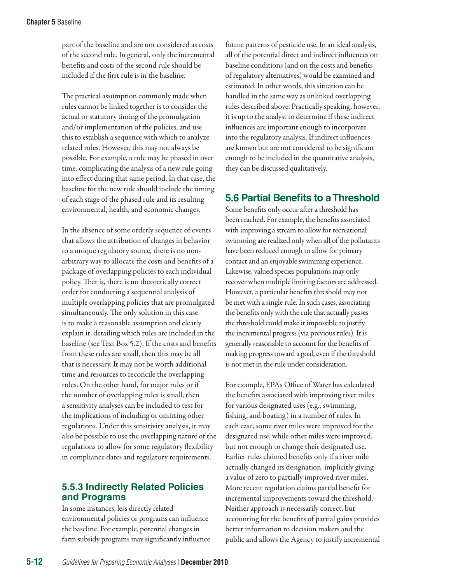part of the baseline and are not considered as costs of the second rule. In general, only the incremental benefits and costs of the second rule should be included if the first rule is in the baseline.

The practical assumption commonly made when rules cannot be linked together is to consider the actual or statutory timing of the promulgation and/or implementation of the policies, and use this to establish a sequence with which to analyze related rules. However, this may not always be possible. For example, a rule may be phased in over time, complicating the analysis of a new rule going into effect during that same period. In that case, the baseline for the new rule should include the timing of each stage of the phased rule and its resulting environmental, health, and economic changes.

In the absence of some orderly sequence of events that allows the attribution of changes in behavior to a unique regulatory source, there is no nonarbitrary way to allocate the costs and benefits of a package of overlapping policies to each individual policy. That is, there is no theoretically correct order for conducting a sequential analysis of multiple overlapping policies that are promulgated simultaneously. The only solution in this case is to make a reasonable assumption and clearly explain it, detailing which rules are included in the baseline (see Text Box 5.2). If the costs and benefits from these rules are small, then this may be all that is necessary. It may not be worth additional time and resources to reconcile the overlapping rules. On the other hand, for major rules or if the number of overlapping rules is small, then a sensitivity analyses can be included to test for the implications of including or omitting other regulations. Under this sensitivity analysis, it may also be possible to use the overlapping nature of the regulations to allow for some regulatory flexibility in compliance dates and regulatory requirements.

**5.5.3 Indirectly Related Policies and Programs**

In some instances, less directly related environmental policies or programs can influence the baseline. For example, potential changes in farm subsidy programs may significantly influence future patterns of pesticide use. In an ideal analysis, all of the potential direct and indirect influences on baseline conditions (and on the costs and benefits of regulatory alternatives) would be examined and estimated. In other words, this situation can be handled in the same way as unlinked overlapping rules described above. Practically speaking, however, it is up to the analyst to determine if these indirect influences are important enough to incorporate into the regulatory analysis. If indirect influences are known but are not considered to be significant enough to be included in the quantitative analysis, they can be discussed qualitatively.

# **5.6 Partial Benefits to a Threshold**

Some benefits only occur after a threshold has been reached. For example, the benefits associated with improving a stream to allow for recreational swimming are realized only when all of the pollutants have been reduced enough to allow for primary contact and an enjoyable swimming experience. Likewise, valued species populations may only recover when multiple limiting factors are addressed. However, a particular benefits threshold may not be met with a single rule. In such cases, associating the benefits only with the rule that actually passes the threshold could make it impossible to justify the incremental progress (via previous rules). It is generally reasonable to account for the benefits of making progress toward a goal, even if the threshold is not met in the rule under consideration.

For example, EPA's Office of Water has calculated the benefits associated with improving river miles for various designated uses (e.g., swimming, fishing, and boating) in a number of rules. In each case, some river miles were improved for the designated use, while other miles were improved, but not enough to change their designated use. Earlier rules claimed benefits only if a river mile actually changed its designation, implicitly giving a value of zero to partially improved river miles. More recent regulation claims partial benefit for incremental improvements toward the threshold. Neither approach is necessarily correct, but accounting for the benefits of partial gains provides better information to decision makers and the public and allows the Agency to justify incremental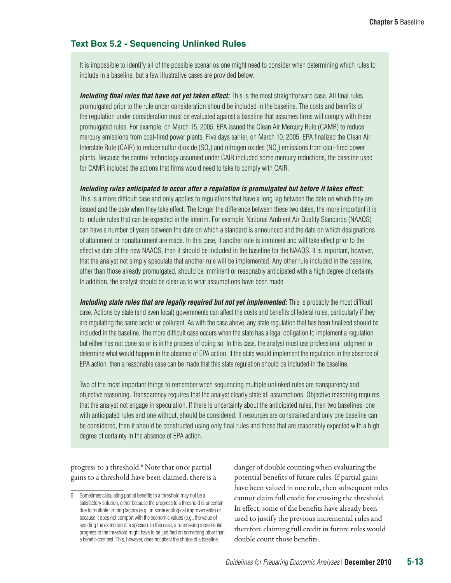#### **Text Box 5.2 - Sequencing Unlinked Rules**

It is impossible to identify all of the possible scenarios one might need to consider when determining which rules to include in a baseline, but a few illustrative cases are provided below.

*Including final rules that have not yet taken effect:* This is the most straightforward case. All final rules promulgated prior to the rule under consideration should be included in the baseline. The costs and benefits of the regulation under consideration must be evaluated against a baseline that assumes firms will comply with these promulgated rules. For example, on March 15, 2005, EPA issued the Clean Air Mercury Rule (CAMR) to reduce mercury emissions from coal-fired power plants. Five days earlier, on March 10, 2005, EPA finalized the Clean Air Interstate Rule (CAIR) to reduce sulfur dioxide (SO<sub>2</sub>) and nitrogen oxides (NO<sub>x</sub>) emissions from coal-fired power plants. Because the control technology assumed under CAIR included some mercury reductions, the baseline used for CAMR included the actions that firms would need to take to comply with CAIR.

#### *Including rules anticipated to occur after a regulation is promulgated but before it takes effect:*

This is a more difficult case and only applies to regulations that have a long lag between the date on which they are issued and the date when they take effect. The longer the difference between these two dates, the more important it is to include rules that can be expected in the interim. For example, National Ambient Air Quality Standards (NAAQS) can have a number of years between the date on which a standard is announced and the date on which designations of attainment or nonattainment are made. In this case, if another rule is imminent and will take effect prior to the effective date of the new NAAQS, then it should be included in the baseline for the NAAQS. It is important, however, that the analyst not simply speculate that another rule will be implemented. Any other rule included in the baseline, other than those already promulgated, should be imminent or reasonably anticipated with a high degree of certainty. In addition, the analyst should be clear as to what assumptions have been made.

Including state rules that are legally required but not yet implemented: This is probably the most difficult case. Actions by state (and even local) governments can affect the costs and benefits of federal rules, particularly if they are regulating the same sector or pollutant. As with the case above, any state regulation that has been finalized should be included in the baseline. The more difficult case occurs when the state has a legal obligation to implement a regulation but either has not done so or is in the process of doing so. In this case, the analyst must use professional judgment to determine what would happen in the absence of EPA action. If the state would implement the regulation in the absence of EPA action, then a reasonable case can be made that this state regulation should be included in the baseline.

Two of the most important things to remember when sequencing multiple unlinked rules are transparency and objective reasoning. Transparency requires that the analyst clearly state all assumptions. Objective reasoning requires that the analyst not engage in speculation. If there is uncertainty about the anticipated rules, then two baselines, one with anticipated rules and one without, should be considered. If resources are constrained and only one baseline can be considered, then it should be constructed using only final rules and those that are reasonably expected with a high degree of certainty in the absence of EPA action.

progress to a threshold.6 Note that once partial gains to a threshold have been claimed, there is a danger of double counting when evaluating the potential benefits of future rules. If partial gains have been valued in one rule, then subsequent rules cannot claim full credit for crossing the threshold. In effect, some of the benefits have already been used to justify the previous incremental rules and therefore claiming full credit in future rules would double count those benefits.

<sup>6</sup> Sometimes calculating partial benefits to a threshold may not be a satisfactory solution, either because the progress to a threshold is uncertain due to multiple limiting factors (e.g., in some ecological improvements) or because it does not comport with the economic values (e.g., the value of avoiding the extinction of a species). In this case, a rulemaking incremental progress to the threshold might have to be justified on something other than a benefit-cost test. This, however, does not affect the choice of a baseline.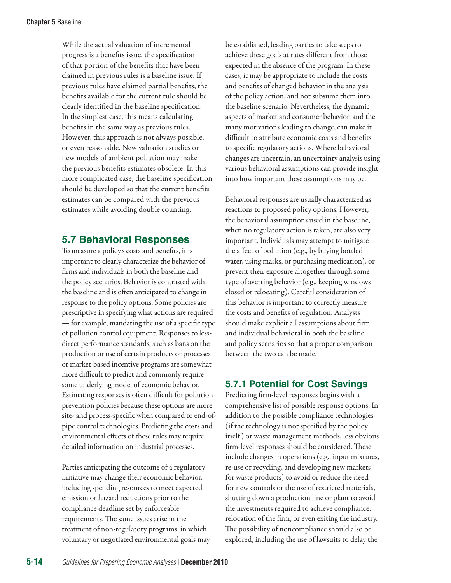While the actual valuation of incremental progress is a benefits issue, the specification of that portion of the benefits that have been claimed in previous rules is a baseline issue. If previous rules have claimed partial benefits, the benefits available for the current rule should be clearly identified in the baseline specification. In the simplest case, this means calculating benefits in the same way as previous rules. However, this approach is not always possible, or even reasonable. New valuation studies or new models of ambient pollution may make the previous benefits estimates obsolete. In this more complicated case, the baseline specification should be developed so that the current benefits estimates can be compared with the previous estimates while avoiding double counting.

## **5.7 Behavioral Responses**

To measure a policy's costs and benefits, it is important to clearly characterize the behavior of firms and individuals in both the baseline and the policy scenarios. Behavior is contrasted with the baseline and is often anticipated to change in response to the policy options. Some policies are prescriptive in specifying what actions are required — for example, mandating the use of a specific type of pollution control equipment. Responses to lessdirect performance standards, such as bans on the production or use of certain products or processes or market-based incentive programs are somewhat more difficult to predict and commonly require some underlying model of economic behavior. Estimating responses is often difficult for pollution prevention policies because these options are more site- and process-specific when compared to end-ofpipe control technologies. Predicting the costs and environmental effects of these rules may require detailed information on industrial processes.

Parties anticipating the outcome of a regulatory initiative may change their economic behavior, including spending resources to meet expected emission or hazard reductions prior to the compliance deadline set by enforceable requirements. The same issues arise in the treatment of non-regulatory programs, in which voluntary or negotiated environmental goals may be established, leading parties to take steps to achieve these goals at rates different from those expected in the absence of the program. In these cases, it may be appropriate to include the costs and benefits of changed behavior in the analysis of the policy action, and not subsume them into the baseline scenario. Nevertheless, the dynamic aspects of market and consumer behavior, and the many motivations leading to change, can make it difficult to attribute economic costs and benefits to specific regulatory actions. Where behavioral changes are uncertain, an uncertainty analysis using various behavioral assumptions can provide insight into how important these assumptions may be.

Behavioral responses are usually characterized as reactions to proposed policy options. However, the behavioral assumptions used in the baseline, when no regulatory action is taken, are also very important. Individuals may attempt to mitigate the affect of pollution (e.g., by buying bottled water, using masks, or purchasing medication), or prevent their exposure altogether through some type of averting behavior (e.g., keeping windows closed or relocating). Careful consideration of this behavior is important to correctly measure the costs and benefits of regulation. Analysts should make explicit all assumptions about firm and individual behavioral in both the baseline and policy scenarios so that a proper comparison between the two can be made.

## **5.7.1 Potential for Cost Savings**

Predicting firm-level responses begins with a comprehensive list of possible response options. In addition to the possible compliance technologies (if the technology is not specified by the policy itself ) or waste management methods, less obvious firm-level responses should be considered. These include changes in operations (e.g., input mixtures, re-use or recycling, and developing new markets for waste products) to avoid or reduce the need for new controls or the use of restricted materials, shutting down a production line or plant to avoid the investments required to achieve compliance, relocation of the firm, or even exiting the industry. The possibility of noncompliance should also be explored, including the use of lawsuits to delay the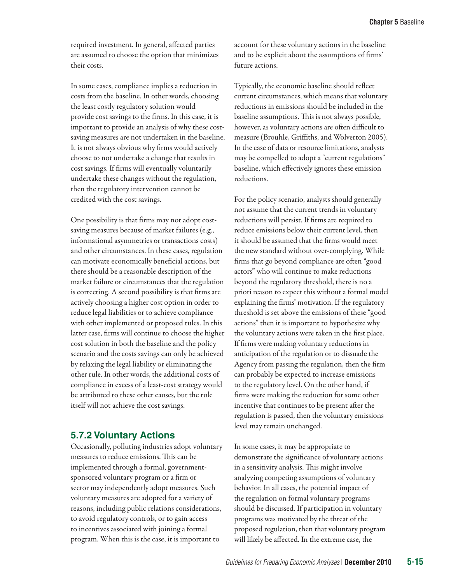required investment. In general, affected parties are assumed to choose the option that minimizes their costs.

In some cases, compliance implies a reduction in costs from the baseline. In other words, choosing the least costly regulatory solution would provide cost savings to the firms. In this case, it is important to provide an analysis of why these costsaving measures are not undertaken in the baseline. It is not always obvious why firms would actively choose to not undertake a change that results in cost savings. If firms will eventually voluntarily undertake these changes without the regulation, then the regulatory intervention cannot be credited with the cost savings.

One possibility is that firms may not adopt costsaving measures because of market failures (e.g., informational asymmetries or transactions costs) and other circumstances. In these cases, regulation can motivate economically beneficial actions, but there should be a reasonable description of the market failure or circumstances that the regulation is correcting. A second possibility is that firms are actively choosing a higher cost option in order to reduce legal liabilities or to achieve compliance with other implemented or proposed rules. In this latter case, firms will continue to choose the higher cost solution in both the baseline and the policy scenario and the costs savings can only be achieved by relaxing the legal liability or eliminating the other rule. In other words, the additional costs of compliance in excess of a least-cost strategy would be attributed to these other causes, but the rule itself will not achieve the cost savings.

#### **5.7.2 Voluntary Actions**

Occasionally, polluting industries adopt voluntary measures to reduce emissions. This can be implemented through a formal, governmentsponsored voluntary program or a firm or sector may independently adopt measures. Such voluntary measures are adopted for a variety of reasons, including public relations considerations, to avoid regulatory controls, or to gain access to incentives associated with joining a formal program. When this is the case, it is important to

account for these voluntary actions in the baseline and to be explicit about the assumptions of firms' future actions.

Typically, the economic baseline should reflect current circumstances, which means that voluntary reductions in emissions should be included in the baseline assumptions. This is not always possible, however, as voluntary actions are often difficult to measure (Brouhle, Griffiths, and Wolverton 2005). In the case of data or resource limitations, analysts may be compelled to adopt a "current regulations" baseline, which effectively ignores these emission reductions.

For the policy scenario, analysts should generally not assume that the current trends in voluntary reductions will persist. If firms are required to reduce emissions below their current level, then it should be assumed that the firms would meet the new standard without over-complying. While firms that go beyond compliance are often "good actors" who will continue to make reductions beyond the regulatory threshold, there is no a priori reason to expect this without a formal model explaining the firms' motivation. If the regulatory threshold is set above the emissions of these "good actions" then it is important to hypothesize why the voluntary actions were taken in the first place. If firms were making voluntary reductions in anticipation of the regulation or to dissuade the Agency from passing the regulation, then the firm can probably be expected to increase emissions to the regulatory level. On the other hand, if firms were making the reduction for some other incentive that continues to be present after the regulation is passed, then the voluntary emissions level may remain unchanged.

In some cases, it may be appropriate to demonstrate the significance of voluntary actions in a sensitivity analysis. This might involve analyzing competing assumptions of voluntary behavior. In all cases, the potential impact of the regulation on formal voluntary programs should be discussed. If participation in voluntary programs was motivated by the threat of the proposed regulation, then that voluntary program will likely be affected. In the extreme case, the